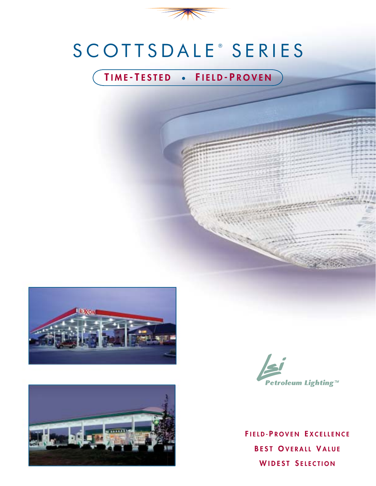

# SCOTTSDALE ® SERIES

## **T IME - T ESTED** ● **F IELD - P ROVEN**







**F IELD- P ROVEN E XCELLENCE B EST O VERALL V ALUE W IDEST S ELECTION**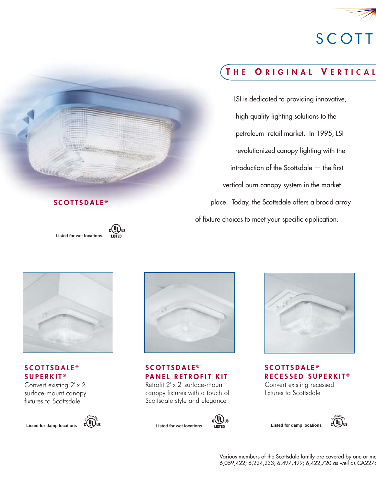

# **SCOTT**

## **T H E O RIGINAL V ERTICAL**

LSI is dedicated to providing innovative, high quality lighting solutions to the petroleum retail market. In 1995, LSI revolutionized canopy lighting with the  $introduction of the Scottishedale - the first$ vertical burn canopy system in the marketplace. Today, the Scottsdale offers a broad array of fixture choices to meet your specific application.



**SCOTTSDALE ®**

**Listed for wet locations.**

 $(\mathtt{U}_\mathsf{L})_\mathsf{us}$ **IRTED** 

#### **SCOTTSDALE ® SUPERKIT ®**

Convert existing 2' x 2' surface-mount canopy fixtures to Scottsdale





**SCOTTSDALE ® PANEL RETROFIT KIT**

Retrofit 2' x 2' surface-mount canopy fixtures with a touch of Scottsdale style and elegance

C<sup>(UL)</sup>us<br>Listed





**SCOTTSDALE ® RECESSED SUPERKIT ®** Convert existing recessed fixtures to Scottsdale



**Listed for damp locations**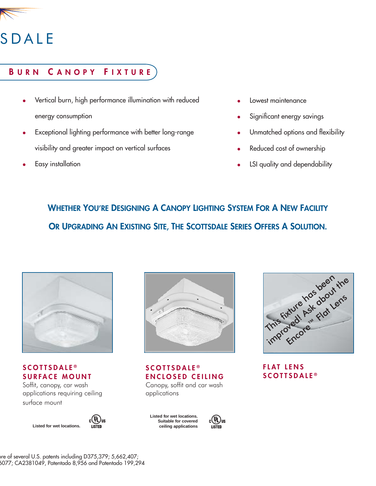

# SDALE

### **B URN C ANOPY F IXTURE**

- Vertical burn, high performance illumination with reduced energy consumption
- Exceptional lighting performance with better long-range visibility and greater impact on vertical surfaces
- Easy installation
- Lowest maintenance
- Significant energy savings
- Unmatched options and flexibility
- Reduced cost of ownership
- LSI quality and dependability

# **WHETHER YOU'RE DESIGNING A CANOPY LIGHTING SYSTEM FOR A NEW FACILITY OR UPGRADING AN EXISTING SITE, THE SCOTTSDALE SERIES OFFERS A SOLUTION.**



#### **SCOTTSDALE ® SURFACE MOUNT**

Soffit, canopy, car wash applications requiring ceiling surface mount





#### **SCOTTSDALE ® ENCLOSED CEILING**

Canopy, soffit and car wash applications

**Listed for wet locations. Suitable for covered ceiling applications**





### **FLAT LENS SCOTTSDALE ®**